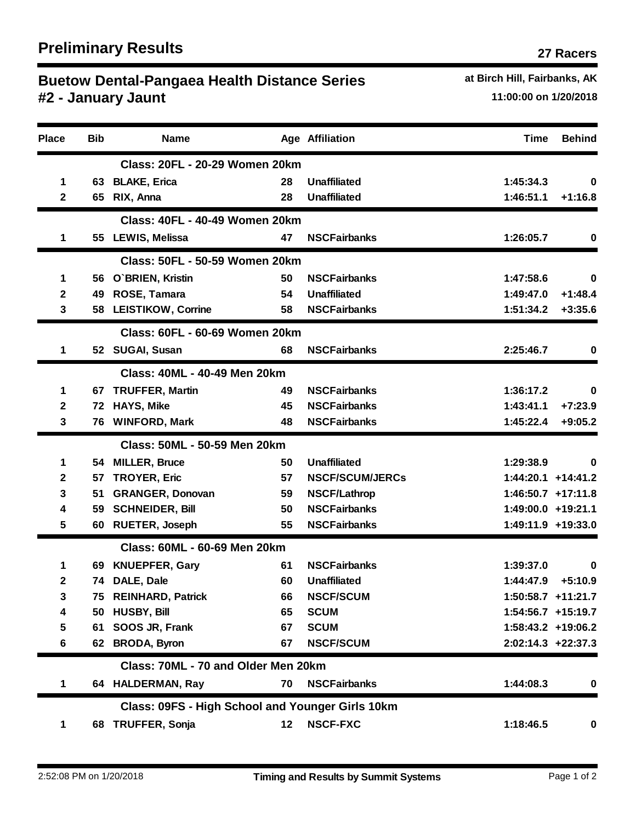## **Buetow Dental-Pangaea Health Distance Series <b>Ack Acceleration** at Birch Hill, Fairbanks, AK **#2 - January Jaunt 11:00:00 on 1/20/2018**

| <b>Place</b> | <b>Bib</b> | <b>Name</b>                                      |         | Age Affiliation        | Time               | <b>Behind</b>        |
|--------------|------------|--------------------------------------------------|---------|------------------------|--------------------|----------------------|
|              |            | <b>Class: 20FL - 20-29 Women 20km</b>            |         |                        |                    |                      |
| 1            |            | 63 BLAKE, Erica                                  | 28      | <b>Unaffiliated</b>    | 1:45:34.3          | 0                    |
| $\mathbf{2}$ |            | 65 RIX, Anna                                     | 28      | <b>Unaffiliated</b>    | 1:46:51.1          | $+1:16.8$            |
|              |            | Class: 40FL - 40-49 Women 20km                   |         |                        |                    |                      |
| 1            |            | 55 LEWIS, Melissa                                | 47      | <b>NSCFairbanks</b>    | 1:26:05.7          | 0                    |
|              |            | <b>Class: 50FL - 50-59 Women 20km</b>            |         |                        |                    |                      |
| 1            |            | 56 O'BRIEN, Kristin                              | 50      | <b>NSCFairbanks</b>    | 1:47:58.6          | 0                    |
| 2            | 49         | ROSE, Tamara                                     | 54      | <b>Unaffiliated</b>    | 1:49:47.0          | $+1:48.4$            |
| 3            |            | 58 LEISTIKOW, Corrine                            | 58      | <b>NSCFairbanks</b>    | 1:51:34.2          | $+3:35.6$            |
|              |            | <b>Class: 60FL - 60-69 Women 20km</b>            |         |                        |                    |                      |
| 1            |            | 52 SUGAI, Susan                                  | 68      | <b>NSCFairbanks</b>    | 2:25:46.7          | 0                    |
|              |            | Class: 40ML - 40-49 Men 20km                     |         |                        |                    |                      |
| 1            |            | 67 TRUFFER, Martin                               | 49      | <b>NSCFairbanks</b>    | 1:36:17.2          | 0                    |
| $\mathbf 2$  | 72         | <b>HAYS, Mike</b>                                | 45      | <b>NSCFairbanks</b>    | 1:43:41.1          | $+7:23.9$            |
| 3            | 76         | <b>WINFORD, Mark</b>                             | 48      | <b>NSCFairbanks</b>    | 1:45:22.4          | $+9:05.2$            |
|              |            | Class: 50ML - 50-59 Men 20km                     |         |                        |                    |                      |
| 1            |            | 54 MILLER, Bruce                                 | 50      | <b>Unaffiliated</b>    | 1:29:38.9          | 0                    |
| 2            | 57         | <b>TROYER, Eric</b>                              | 57      | <b>NSCF/SCUM/JERCs</b> |                    | $1:44:20.1$ +14:41.2 |
| 3            | 51         | <b>GRANGER, Donovan</b>                          | 59      | <b>NSCF/Lathrop</b>    |                    | $1:46:50.7$ +17:11.8 |
| 4            |            | 59 SCHNEIDER, Bill                               | 50      | <b>NSCFairbanks</b>    | 1:49:00.0 +19:21.1 |                      |
| 5            |            | 60 RUETER, Joseph                                | 55      | <b>NSCFairbanks</b>    |                    | 1:49:11.9 +19:33.0   |
|              |            | Class: 60ML - 60-69 Men 20km                     |         |                        |                    |                      |
| 1            |            | 69 KNUEPFER, Gary                                | 61      | <b>NSCFairbanks</b>    | 1:39:37.0          | 0                    |
| 2            |            | 74 DALE, Dale                                    | 60      | <b>Unaffiliated</b>    | 1:44:47.9          | $+5:10.9$            |
| 3            |            | 75 REINHARD, Patrick                             | 66      | <b>NSCF/SCUM</b>       |                    | 1:50:58.7 +11:21.7   |
| 4            |            | 50 HUSBY, Bill                                   | 65      | <b>SCUM</b>            |                    | 1:54:56.7 +15:19.7   |
| 5            |            | 61 SOOS JR, Frank                                | 67      | <b>SCUM</b>            |                    | 1:58:43.2 +19:06.2   |
| 6            |            | 62 BRODA, Byron                                  | 67      | <b>NSCF/SCUM</b>       |                    | $2:02:14.3$ +22:37.3 |
|              |            | Class: 70ML - 70 and Older Men 20km              |         |                        |                    |                      |
| 1            |            | 64 HALDERMAN, Ray                                | 70      | <b>NSCFairbanks</b>    | 1:44:08.3          | 0                    |
|              |            | Class: 09FS - High School and Younger Girls 10km |         |                        |                    |                      |
| 1            |            | 68 TRUFFER, Sonja                                | $12 \,$ | <b>NSCF-FXC</b>        | 1:18:46.5          | $\mathbf 0$          |